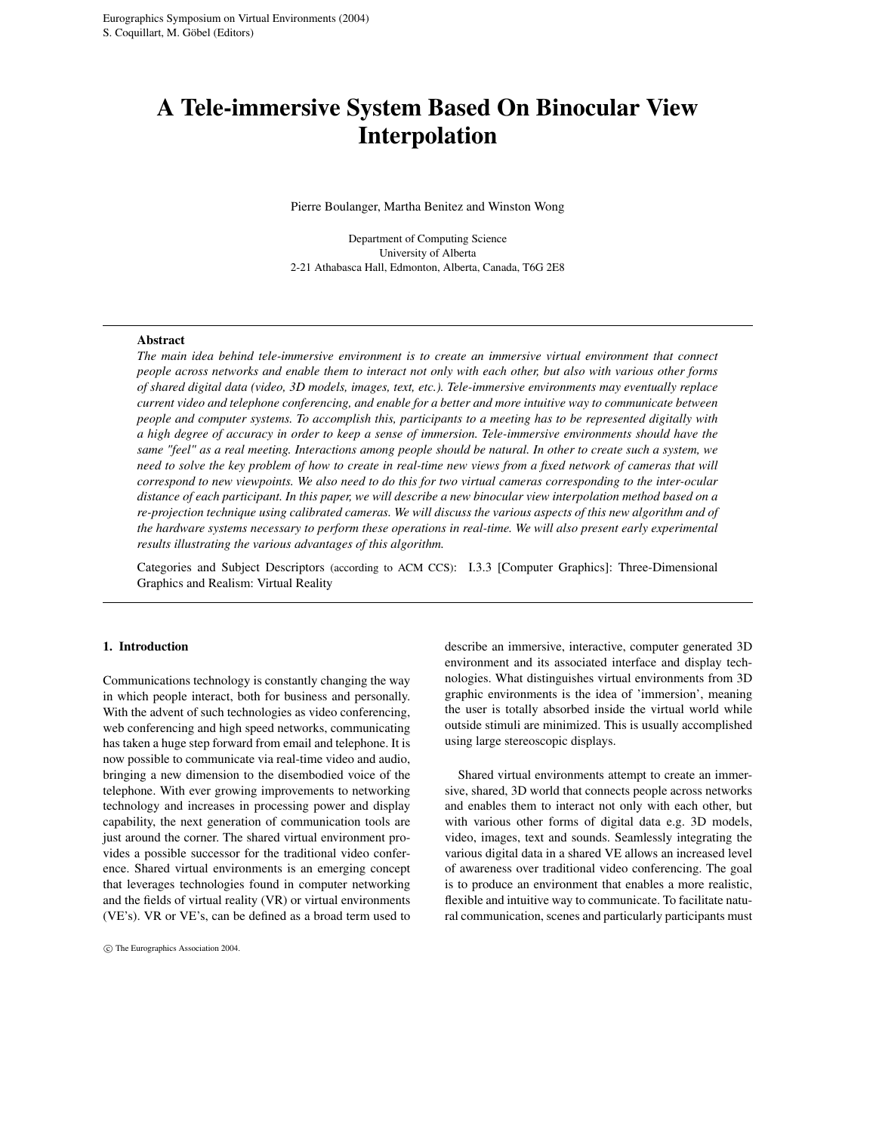# **A Tele-immersive System Based On Binocular View Interpolation**

Pierre Boulanger, Martha Benitez and Winston Wong

Department of Computing Science University of Alberta 2-21 Athabasca Hall, Edmonton, Alberta, Canada, T6G 2E8

# **Abstract**

*The main idea behind tele-immersive environment is to create an immersive virtual environment that connect* people across networks and enable them to interact not only with each other, but also with various other forms *of shared digital data (video, 3D models, images, text, etc.). Tele-immersive environments may eventually replace* current video and telephone conferencing, and enable for a better and more intuitive way to communicate between people and computer systems. To accomplish this, participants to a meeting has to be represented digitally with a high degree of accuracy in order to keep a sense of immersion. Tele-immersive environments should have the same "feel" as a real meeting. Interactions among people should be natural. In other to create such a system, we need to solve the key problem of how to create in real-time new views from a fixed network of cameras that will correspond to new viewpoints. We also need to do this for two virtual cameras corresponding to the inter-ocular distance of each participant. In this paper, we will describe a new binocular view interpolation method based on a re-projection technique using calibrated cameras. We will discuss the various aspects of this new algorithm and of *the hardware systems necessary to perform these operations in real-time. We will also present early experimental results illustrating the various advantages of this algorithm.*

Categories and Subject Descriptors (according to ACM CCS): I.3.3 [Computer Graphics]: Three-Dimensional Graphics and Realism: Virtual Reality

# **1. Introduction**

Communications technology is constantly changing the way in which people interact, both for business and personally. With the advent of such technologies as video conferencing, web conferencing and high speed networks, communicating has taken a huge step forward from email and telephone. It is now possible to communicate via real-time video and audio, bringing a new dimension to the disembodied voice of the telephone. With ever growing improvements to networking technology and increases in processing power and display capability, the next generation of communication tools are just around the corner. The shared virtual environment provides a possible successor for the traditional video conference. Shared virtual environments is an emerging concept that leverages technologies found in computer networking and the fields of virtual reality (VR) or virtual environments (VE's). VR or VE's, can be defined as a broad term used to

°c The Eurographics Association 2004.

describe an immersive, interactive, computer generated 3D environment and its associated interface and display technologies. What distinguishes virtual environments from 3D graphic environments is the idea of 'immersion', meaning the user is totally absorbed inside the virtual world while outside stimuli are minimized. This is usually accomplished using large stereoscopic displays.

Shared virtual environments attempt to create an immersive, shared, 3D world that connects people across networks and enables them to interact not only with each other, but with various other forms of digital data e.g. 3D models, video, images, text and sounds. Seamlessly integrating the various digital data in a shared VE allows an increased level of awareness over traditional video conferencing. The goal is to produce an environment that enables a more realistic, flexible and intuitive way to communicate. To facilitate natural communication, scenes and particularly participants must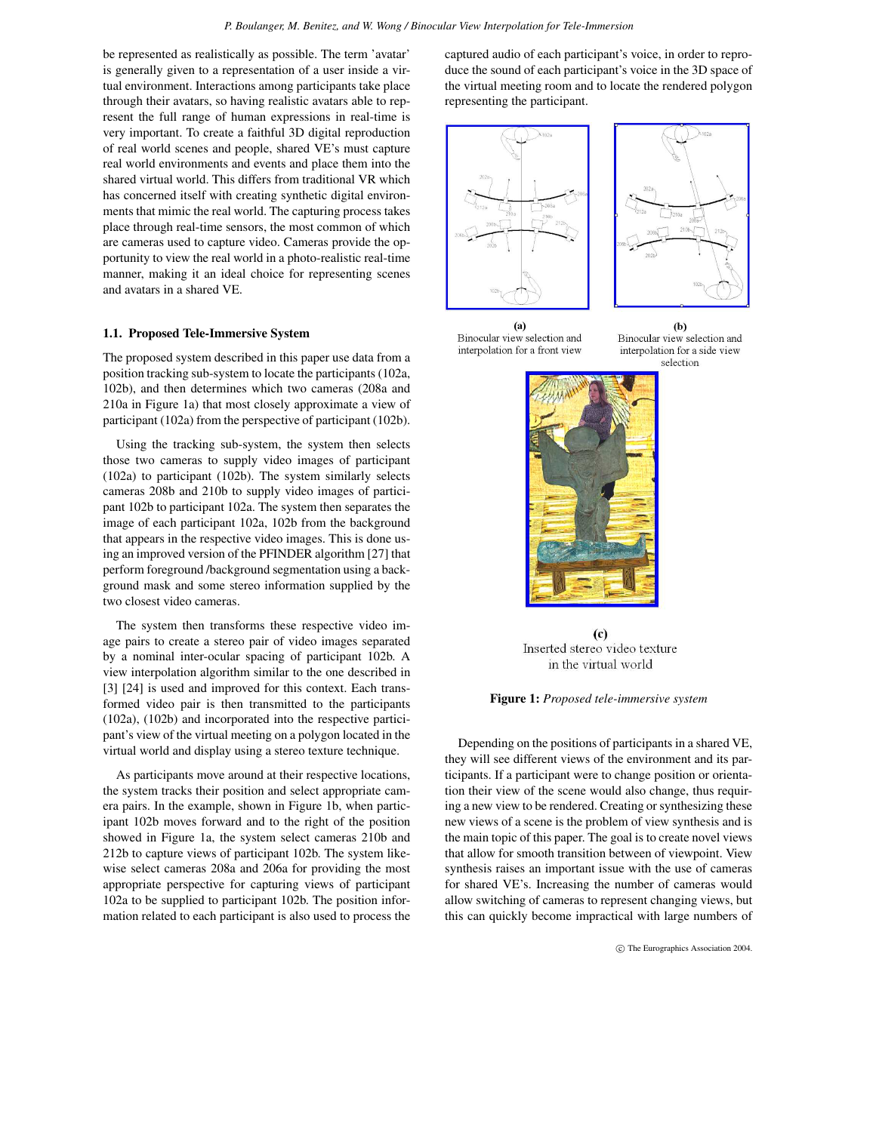be represented as realistically as possible. The term 'avatar' is generally given to a representation of a user inside a virtual environment. Interactions among participants take place through their avatars, so having realistic avatars able to represent the full range of human expressions in real-time is very important. To create a faithful 3D digital reproduction of real world scenes and people, shared VE's must capture real world environments and events and place them into the shared virtual world. This differs from traditional VR which has concerned itself with creating synthetic digital environments that mimic the real world. The capturing process takes place through real-time sensors, the most common of which are cameras used to capture video. Cameras provide the opportunity to view the real world in a photo-realistic real-time manner, making it an ideal choice for representing scenes and avatars in a shared VE.

# **1.1. Proposed Tele-Immersive System**

The proposed system described in this paper use data from a position tracking sub-system to locate the participants (102a, 102b), and then determines which two cameras (208a and 210a in Figure 1a) that most closely approximate a view of participant (102a) from the perspective of participant (102b).

Using the tracking sub-system, the system then selects those two cameras to supply video images of participant (102a) to participant (102b). The system similarly selects cameras 208b and 210b to supply video images of participant 102b to participant 102a. The system then separates the image of each participant 102a, 102b from the background that appears in the respective video images. This is done using an improved version of the PFINDER algorithm [27] that perform foreground /background segmentation using a background mask and some stereo information supplied by the two closest video cameras.

The system then transforms these respective video image pairs to create a stereo pair of video images separated by a nominal inter-ocular spacing of participant 102b. A view interpolation algorithm similar to the one described in [3] [24] is used and improved for this context. Each transformed video pair is then transmitted to the participants (102a), (102b) and incorporated into the respective participant's view of the virtual meeting on a polygon located in the virtual world and display using a stereo texture technique.

As participants move around at their respective locations, the system tracks their position and select appropriate camera pairs. In the example, shown in Figure 1b, when participant 102b moves forward and to the right of the position showed in Figure 1a, the system select cameras 210b and 212b to capture views of participant 102b. The system likewise select cameras 208a and 206a for providing the most appropriate perspective for capturing views of participant 102a to be supplied to participant 102b. The position information related to each participant is also used to process the captured audio of each participant's voice, in order to reproduce the sound of each participant's voice in the 3D space of the virtual meeting room and to locate the rendered polygon representing the participant.





 $(a)$ Binocular view selection and interpolation for a front view

 $(b)$ Binocular view selection and interpolation for a side view selection



 $(c)$ Inserted stereo video texture in the virtual world

**Figure 1:** *Proposed tele-immersive system*

Depending on the positions of participants in a shared VE, they will see different views of the environment and its participants. If a participant were to change position or orientation their view of the scene would also change, thus requiring a new view to be rendered. Creating or synthesizing these new views of a scene is the problem of view synthesis and is the main topic of this paper. The goal is to create novel views that allow for smooth transition between of viewpoint. View synthesis raises an important issue with the use of cameras for shared VE's. Increasing the number of cameras would allow switching of cameras to represent changing views, but this can quickly become impractical with large numbers of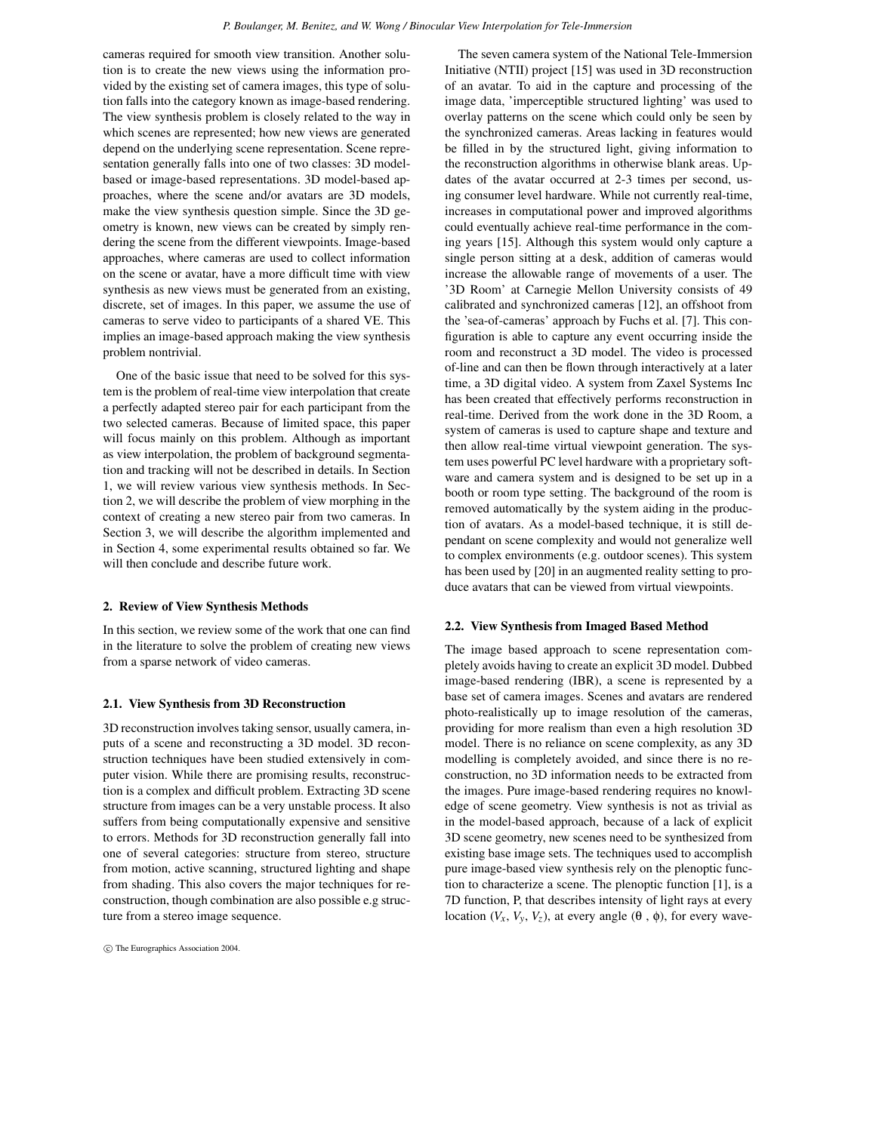cameras required for smooth view transition. Another solution is to create the new views using the information provided by the existing set of camera images, this type of solution falls into the category known as image-based rendering. The view synthesis problem is closely related to the way in which scenes are represented; how new views are generated depend on the underlying scene representation. Scene representation generally falls into one of two classes: 3D modelbased or image-based representations. 3D model-based approaches, where the scene and/or avatars are 3D models, make the view synthesis question simple. Since the 3D geometry is known, new views can be created by simply rendering the scene from the different viewpoints. Image-based approaches, where cameras are used to collect information on the scene or avatar, have a more difficult time with view synthesis as new views must be generated from an existing, discrete, set of images. In this paper, we assume the use of cameras to serve video to participants of a shared VE. This implies an image-based approach making the view synthesis problem nontrivial.

One of the basic issue that need to be solved for this system is the problem of real-time view interpolation that create a perfectly adapted stereo pair for each participant from the two selected cameras. Because of limited space, this paper will focus mainly on this problem. Although as important as view interpolation, the problem of background segmentation and tracking will not be described in details. In Section 1, we will review various view synthesis methods. In Section 2, we will describe the problem of view morphing in the context of creating a new stereo pair from two cameras. In Section 3, we will describe the algorithm implemented and in Section 4, some experimental results obtained so far. We will then conclude and describe future work.

## **2. Review of View Synthesis Methods**

In this section, we review some of the work that one can find in the literature to solve the problem of creating new views from a sparse network of video cameras.

# **2.1. View Synthesis from 3D Reconstruction**

3D reconstruction involves taking sensor, usually camera, inputs of a scene and reconstructing a 3D model. 3D reconstruction techniques have been studied extensively in computer vision. While there are promising results, reconstruction is a complex and difficult problem. Extracting 3D scene structure from images can be a very unstable process. It also suffers from being computationally expensive and sensitive to errors. Methods for 3D reconstruction generally fall into one of several categories: structure from stereo, structure from motion, active scanning, structured lighting and shape from shading. This also covers the major techniques for reconstruction, though combination are also possible e.g structure from a stereo image sequence.

°c The Eurographics Association 2004.

The seven camera system of the National Tele-Immersion Initiative (NTII) project [15] was used in 3D reconstruction of an avatar. To aid in the capture and processing of the image data, 'imperceptible structured lighting' was used to overlay patterns on the scene which could only be seen by the synchronized cameras. Areas lacking in features would be filled in by the structured light, giving information to the reconstruction algorithms in otherwise blank areas. Updates of the avatar occurred at 2-3 times per second, using consumer level hardware. While not currently real-time, increases in computational power and improved algorithms could eventually achieve real-time performance in the coming years [15]. Although this system would only capture a single person sitting at a desk, addition of cameras would increase the allowable range of movements of a user. The '3D Room' at Carnegie Mellon University consists of 49 calibrated and synchronized cameras [12], an offshoot from the 'sea-of-cameras' approach by Fuchs et al. [7]. This configuration is able to capture any event occurring inside the room and reconstruct a 3D model. The video is processed of-line and can then be flown through interactively at a later time, a 3D digital video. A system from Zaxel Systems Inc has been created that effectively performs reconstruction in real-time. Derived from the work done in the 3D Room, a system of cameras is used to capture shape and texture and then allow real-time virtual viewpoint generation. The system uses powerful PC level hardware with a proprietary software and camera system and is designed to be set up in a booth or room type setting. The background of the room is removed automatically by the system aiding in the production of avatars. As a model-based technique, it is still dependant on scene complexity and would not generalize well to complex environments (e.g. outdoor scenes). This system has been used by [20] in an augmented reality setting to produce avatars that can be viewed from virtual viewpoints.

# **2.2. View Synthesis from Imaged Based Method**

The image based approach to scene representation completely avoids having to create an explicit 3D model. Dubbed image-based rendering (IBR), a scene is represented by a base set of camera images. Scenes and avatars are rendered photo-realistically up to image resolution of the cameras, providing for more realism than even a high resolution 3D model. There is no reliance on scene complexity, as any 3D modelling is completely avoided, and since there is no reconstruction, no 3D information needs to be extracted from the images. Pure image-based rendering requires no knowledge of scene geometry. View synthesis is not as trivial as in the model-based approach, because of a lack of explicit 3D scene geometry, new scenes need to be synthesized from existing base image sets. The techniques used to accomplish pure image-based view synthesis rely on the plenoptic function to characterize a scene. The plenoptic function [1], is a 7D function, P, that describes intensity of light rays at every location ( $V_x$ ,  $V_y$ ,  $V_z$ ), at every angle (θ, φ), for every wave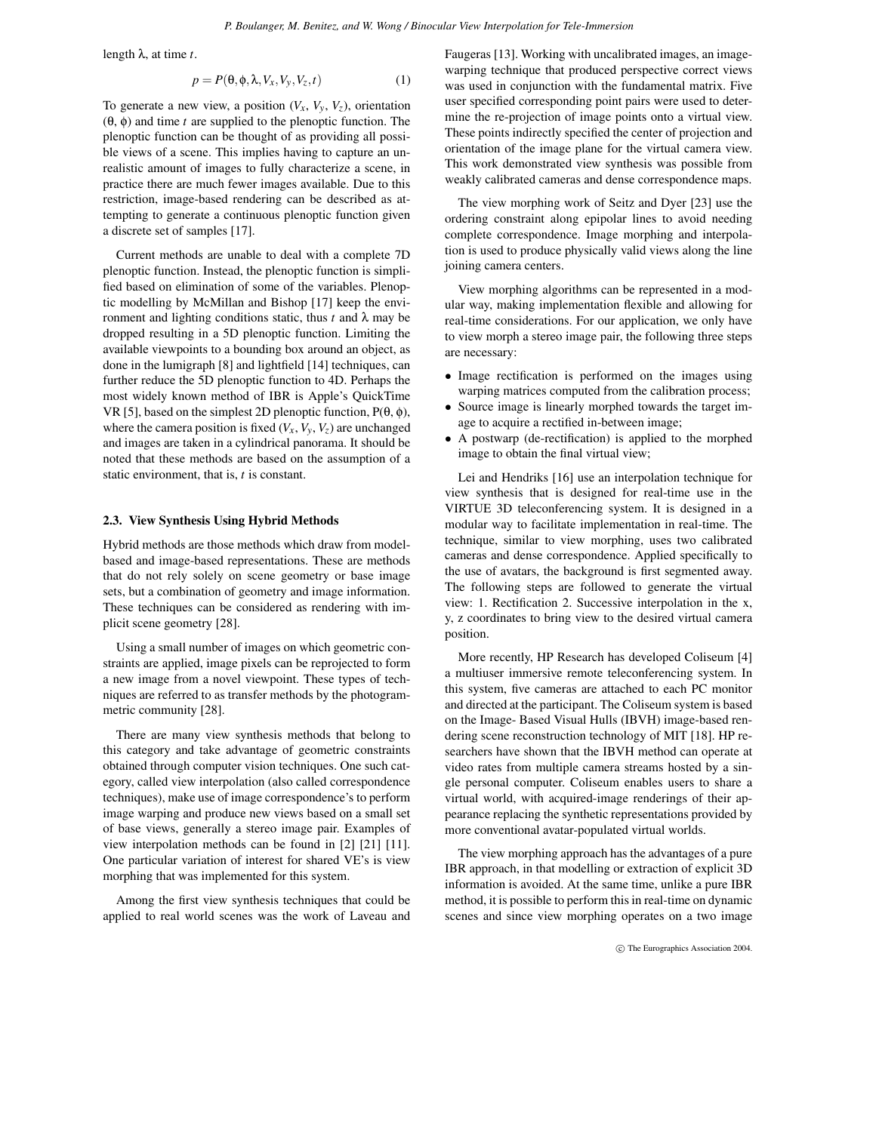length λ, at time *t*.

$$
p = P(\theta, \phi, \lambda, V_x, V_y, V_z, t) \tag{1}
$$

To generate a new view, a position  $(V_x, V_y, V_z)$ , orientation (θ, φ) and time *t* are supplied to the plenoptic function. The plenoptic function can be thought of as providing all possible views of a scene. This implies having to capture an unrealistic amount of images to fully characterize a scene, in practice there are much fewer images available. Due to this restriction, image-based rendering can be described as attempting to generate a continuous plenoptic function given a discrete set of samples [17].

Current methods are unable to deal with a complete 7D plenoptic function. Instead, the plenoptic function is simplified based on elimination of some of the variables. Plenoptic modelling by McMillan and Bishop [17] keep the environment and lighting conditions static, thus *t* and  $λ$  may be dropped resulting in a 5D plenoptic function. Limiting the available viewpoints to a bounding box around an object, as done in the lumigraph [8] and lightfield [14] techniques, can further reduce the 5D plenoptic function to 4D. Perhaps the most widely known method of IBR is Apple's QuickTime VR [5], based on the simplest 2D plenoptic function,  $P(\theta, \phi)$ , where the camera position is fixed  $(V_x, V_y, V_z)$  are unchanged and images are taken in a cylindrical panorama. It should be noted that these methods are based on the assumption of a static environment, that is, *t* is constant.

# **2.3. View Synthesis Using Hybrid Methods**

Hybrid methods are those methods which draw from modelbased and image-based representations. These are methods that do not rely solely on scene geometry or base image sets, but a combination of geometry and image information. These techniques can be considered as rendering with implicit scene geometry [28].

Using a small number of images on which geometric constraints are applied, image pixels can be reprojected to form a new image from a novel viewpoint. These types of techniques are referred to as transfer methods by the photogrammetric community [28].

There are many view synthesis methods that belong to this category and take advantage of geometric constraints obtained through computer vision techniques. One such category, called view interpolation (also called correspondence techniques), make use of image correspondence's to perform image warping and produce new views based on a small set of base views, generally a stereo image pair. Examples of view interpolation methods can be found in [2] [21] [11]. One particular variation of interest for shared VE's is view morphing that was implemented for this system.

Among the first view synthesis techniques that could be applied to real world scenes was the work of Laveau and Faugeras [13]. Working with uncalibrated images, an imagewarping technique that produced perspective correct views was used in conjunction with the fundamental matrix. Five user specified corresponding point pairs were used to determine the re-projection of image points onto a virtual view. These points indirectly specified the center of projection and orientation of the image plane for the virtual camera view. This work demonstrated view synthesis was possible from weakly calibrated cameras and dense correspondence maps.

The view morphing work of Seitz and Dyer [23] use the ordering constraint along epipolar lines to avoid needing complete correspondence. Image morphing and interpolation is used to produce physically valid views along the line joining camera centers.

View morphing algorithms can be represented in a modular way, making implementation flexible and allowing for real-time considerations. For our application, we only have to view morph a stereo image pair, the following three steps are necessary:

- Image rectification is performed on the images using warping matrices computed from the calibration process;
- Source image is linearly morphed towards the target image to acquire a rectified in-between image;
- A postwarp (de-rectification) is applied to the morphed image to obtain the final virtual view;

Lei and Hendriks [16] use an interpolation technique for view synthesis that is designed for real-time use in the VIRTUE 3D teleconferencing system. It is designed in a modular way to facilitate implementation in real-time. The technique, similar to view morphing, uses two calibrated cameras and dense correspondence. Applied specifically to the use of avatars, the background is first segmented away. The following steps are followed to generate the virtual view: 1. Rectification 2. Successive interpolation in the x, y, z coordinates to bring view to the desired virtual camera position.

More recently, HP Research has developed Coliseum [4] a multiuser immersive remote teleconferencing system. In this system, five cameras are attached to each PC monitor and directed at the participant. The Coliseum system is based on the Image- Based Visual Hulls (IBVH) image-based rendering scene reconstruction technology of MIT [18]. HP researchers have shown that the IBVH method can operate at video rates from multiple camera streams hosted by a single personal computer. Coliseum enables users to share a virtual world, with acquired-image renderings of their appearance replacing the synthetic representations provided by more conventional avatar-populated virtual worlds.

The view morphing approach has the advantages of a pure IBR approach, in that modelling or extraction of explicit 3D information is avoided. At the same time, unlike a pure IBR method, it is possible to perform this in real-time on dynamic scenes and since view morphing operates on a two image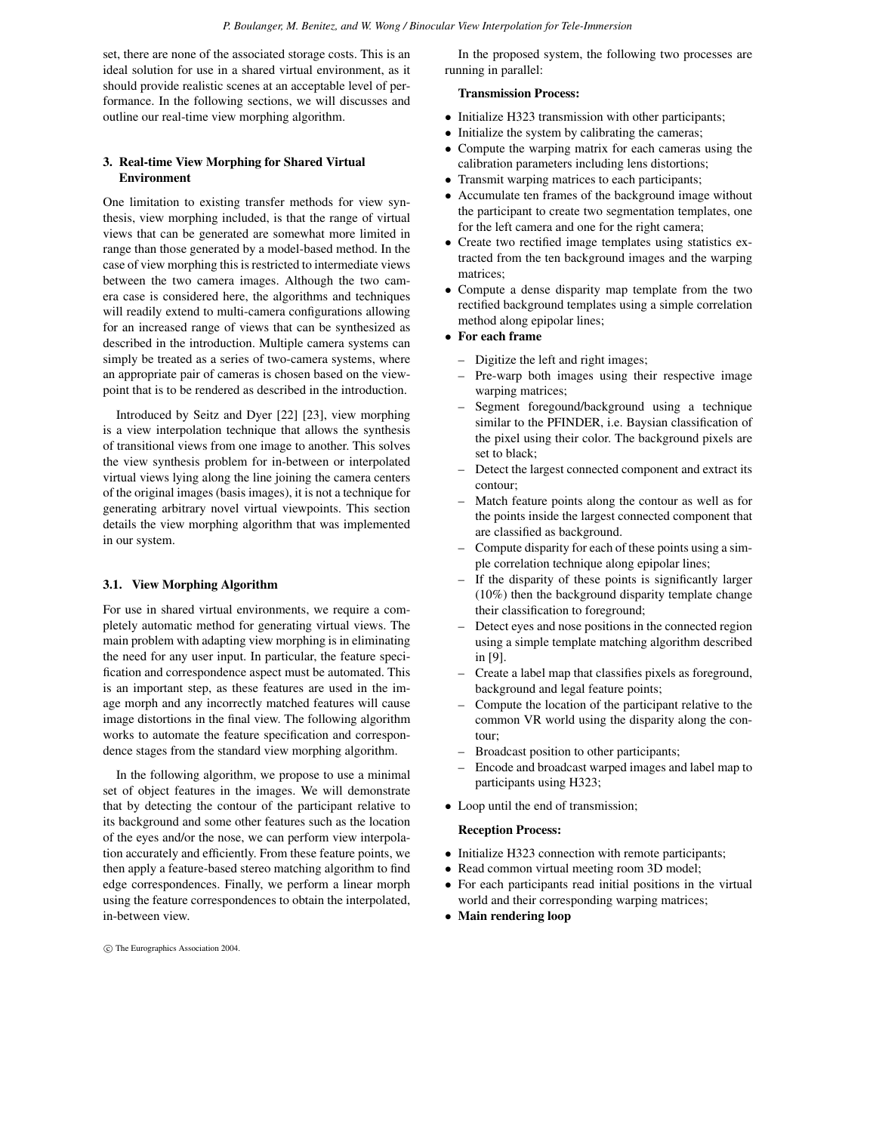set, there are none of the associated storage costs. This is an ideal solution for use in a shared virtual environment, as it should provide realistic scenes at an acceptable level of performance. In the following sections, we will discusses and outline our real-time view morphing algorithm.

# **3. Real-time View Morphing for Shared Virtual Environment**

One limitation to existing transfer methods for view synthesis, view morphing included, is that the range of virtual views that can be generated are somewhat more limited in range than those generated by a model-based method. In the case of view morphing this is restricted to intermediate views between the two camera images. Although the two camera case is considered here, the algorithms and techniques will readily extend to multi-camera configurations allowing for an increased range of views that can be synthesized as described in the introduction. Multiple camera systems can simply be treated as a series of two-camera systems, where an appropriate pair of cameras is chosen based on the viewpoint that is to be rendered as described in the introduction.

Introduced by Seitz and Dyer [22] [23], view morphing is a view interpolation technique that allows the synthesis of transitional views from one image to another. This solves the view synthesis problem for in-between or interpolated virtual views lying along the line joining the camera centers of the original images (basis images), it is not a technique for generating arbitrary novel virtual viewpoints. This section details the view morphing algorithm that was implemented in our system.

# **3.1. View Morphing Algorithm**

For use in shared virtual environments, we require a completely automatic method for generating virtual views. The main problem with adapting view morphing is in eliminating the need for any user input. In particular, the feature specification and correspondence aspect must be automated. This is an important step, as these features are used in the image morph and any incorrectly matched features will cause image distortions in the final view. The following algorithm works to automate the feature specification and correspondence stages from the standard view morphing algorithm.

In the following algorithm, we propose to use a minimal set of object features in the images. We will demonstrate that by detecting the contour of the participant relative to its background and some other features such as the location of the eyes and/or the nose, we can perform view interpolation accurately and efficiently. From these feature points, we then apply a feature-based stereo matching algorithm to find edge correspondences. Finally, we perform a linear morph using the feature correspondences to obtain the interpolated, in-between view.

°c The Eurographics Association 2004.

In the proposed system, the following two processes are running in parallel:

#### **Transmission Process:**

- Initialize H323 transmission with other participants;
- Initialize the system by calibrating the cameras;
- Compute the warping matrix for each cameras using the calibration parameters including lens distortions;
- Transmit warping matrices to each participants;
- Accumulate ten frames of the background image without the participant to create two segmentation templates, one for the left camera and one for the right camera;
- Create two rectified image templates using statistics extracted from the ten background images and the warping matrices;
- Compute a dense disparity map template from the two rectified background templates using a simple correlation method along epipolar lines;
- **For each frame**
	- Digitize the left and right images;
	- Pre-warp both images using their respective image warping matrices;
	- Segment foregound/background using a technique similar to the PFINDER, i.e. Baysian classification of the pixel using their color. The background pixels are set to black;
	- Detect the largest connected component and extract its contour;
	- Match feature points along the contour as well as for the points inside the largest connected component that are classified as background.
	- Compute disparity for each of these points using a simple correlation technique along epipolar lines;
	- If the disparity of these points is significantly larger (10%) then the background disparity template change their classification to foreground;
	- Detect eyes and nose positions in the connected region using a simple template matching algorithm described in [9].
	- Create a label map that classifies pixels as foreground, background and legal feature points;
	- Compute the location of the participant relative to the common VR world using the disparity along the contour;
	- Broadcast position to other participants;
	- Encode and broadcast warped images and label map to participants using H323;
- Loop until the end of transmission;

# **Reception Process:**

- Initialize H323 connection with remote participants;
- Read common virtual meeting room 3D model;
- For each participants read initial positions in the virtual world and their corresponding warping matrices;
- **Main rendering loop**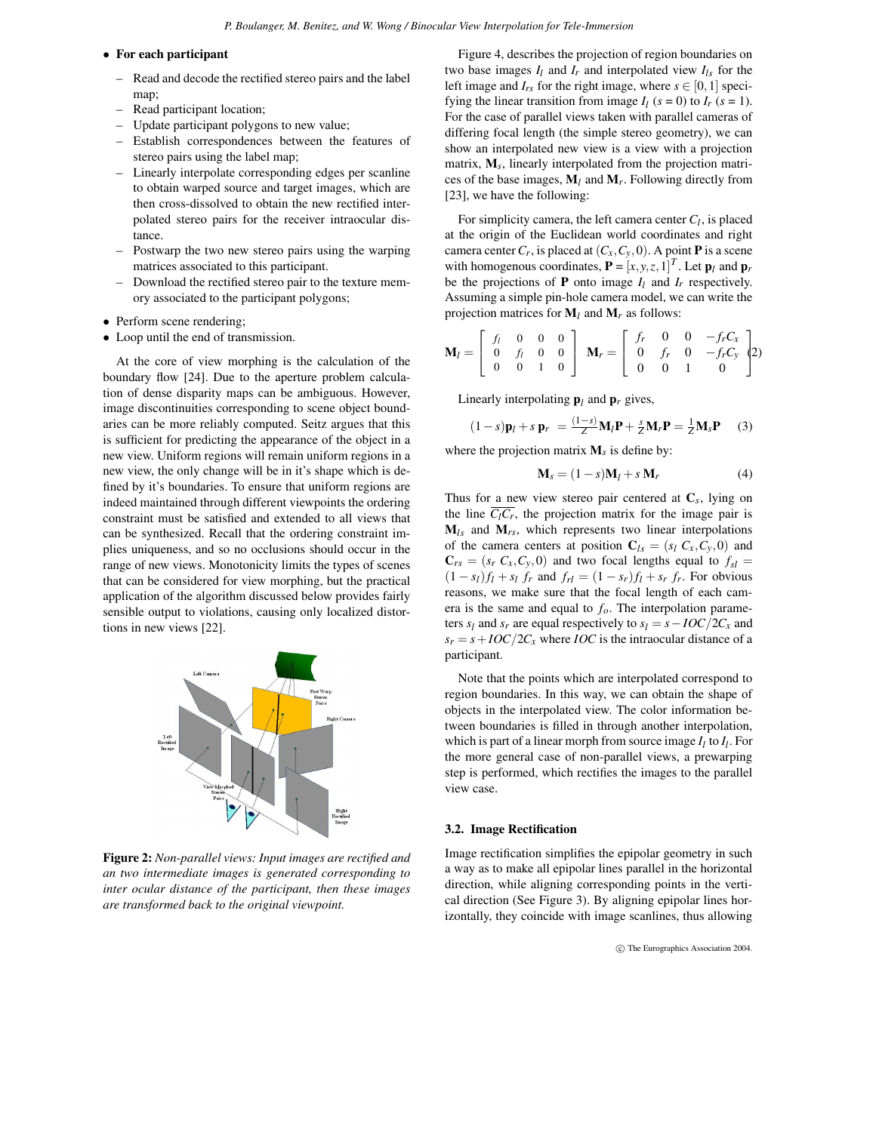# • **For each participant**

- Read and decode the rectified stereo pairs and the label map;
- Read participant location;
- Update participant polygons to new value;
- Establish correspondences between the features of stereo pairs using the label map;
- Linearly interpolate corresponding edges per scanline to obtain warped source and target images, which are then cross-dissolved to obtain the new rectified interpolated stereo pairs for the receiver intraocular distance.
- Postwarp the two new stereo pairs using the warping matrices associated to this participant.
- Download the rectified stereo pair to the texture memory associated to the participant polygons;
- Perform scene rendering;
- Loop until the end of transmission.

At the core of view morphing is the calculation of the boundary flow [24]. Due to the aperture problem calculation of dense disparity maps can be ambiguous. However, image discontinuities corresponding to scene object boundaries can be more reliably computed. Seitz argues that this is sufficient for predicting the appearance of the object in a new view. Uniform regions will remain uniform regions in a new view, the only change will be in it's shape which is defined by it's boundaries. To ensure that uniform regions are indeed maintained through different viewpoints the ordering constraint must be satisfied and extended to all views that can be synthesized. Recall that the ordering constraint implies uniqueness, and so no occlusions should occur in the range of new views. Monotonicity limits the types of scenes that can be considered for view morphing, but the practical application of the algorithm discussed below provides fairly sensible output to violations, causing only localized distortions in new views [22].



**Figure 2:** *Non-parallel views: Input images are rectified and an two intermediate images is generated corresponding to inter ocular distance of the participant, then these images are transformed back to the original viewpoint.*

Figure 4, describes the projection of region boundaries on two base images  $I_l$  and  $I_r$  and interpolated view  $I_{ls}$  for the left image and  $I_{rs}$  for the right image, where  $s \in [0,1]$  specifying the linear transition from image  $I_l$  ( $s = 0$ ) to  $I_r$  ( $s = 1$ ). For the case of parallel views taken with parallel cameras of differing focal length (the simple stereo geometry), we can show an interpolated new view is a view with a projection matrix, **M***s*, linearly interpolated from the projection matrices of the base images, **M***<sup>l</sup>* and **M***r*. Following directly from [23], we have the following:

For simplicity camera, the left camera center *C<sup>l</sup>* , is placed at the origin of the Euclidean world coordinates and right camera center  $C_r$ , is placed at  $(C_x, C_y, 0)$ . A point **P** is a scene with homogenous coordinates,  $\mathbf{P} = [x, y, z, 1]^T$ . Let  $\mathbf{p}_l$  and  $\mathbf{p}_r$ be the projections of **P** onto image  $I_l$  and  $I_r$  respectively. Assuming a simple pin-hole camera model, we can write the projection matrices for  $M_l$  and  $M_r$  as follows:

$$
\mathbf{M}_{l} = \left[ \begin{array}{cccc} f_{l} & 0 & 0 & 0 \\ 0 & f_{l} & 0 & 0 \\ 0 & 0 & 1 & 0 \end{array} \right] \quad \mathbf{M}_{r} = \left[ \begin{array}{cccc} f_{r} & 0 & 0 & -f_{r}C_{x} \\ 0 & f_{r} & 0 & -f_{r}C_{y} \\ 0 & 0 & 1 & 0 \end{array} \right] \tag{2}
$$

Linearly interpolating  $\mathbf{p}_l$  and  $\mathbf{p}_r$  gives,

$$
(1-s)\mathbf{p}_l + s\mathbf{p}_r = \frac{(1-s)}{Z}\mathbf{M}_l\mathbf{P} + \frac{s}{Z}\mathbf{M}_r\mathbf{P} = \frac{1}{Z}\mathbf{M}_s\mathbf{P} \tag{3}
$$

where the projection matrix **M***s* is define by:

$$
\mathbf{M}_s = (1 - s)\mathbf{M}_l + s\mathbf{M}_r \tag{4}
$$

Thus for a new view stereo pair centered at **C***s*, lying on the line  $\overline{C_lC_r}$ , the projection matrix for the image pair is **M***ls* and **M***rs*, which represents two linear interpolations of the camera centers at position  $C_{ls} = (s_l C_x, C_y, 0)$  and  $\mathbf{C}_{rs} = (s_r C_x, C_y, 0)$  and two focal lengths equal to  $f_{sl} =$  $(1 - s_l)f_l + s_l$  *fr* and  $f_{rl} = (1 - s_r)f_l + s_r$  *fr.* For obvious reasons, we make sure that the focal length of each camera is the same and equal to *fo*. The interpolation parameters  $s_l$  and  $s_r$  are equal respectively to  $s_l = s - IOC/2C_x$  and  $s_r = s + IOC/2C_x$  where *IOC* is the intraocular distance of a participant.

Note that the points which are interpolated correspond to region boundaries. In this way, we can obtain the shape of objects in the interpolated view. The color information between boundaries is filled in through another interpolation, which is part of a linear morph from source image  $I_l$  to  $I_l$ . For the more general case of non-parallel views, a prewarping step is performed, which rectifies the images to the parallel view case.

## **3.2. Image Rectification**

Image rectification simplifies the epipolar geometry in such a way as to make all epipolar lines parallel in the horizontal direction, while aligning corresponding points in the vertical direction (See Figure 3). By aligning epipolar lines horizontally, they coincide with image scanlines, thus allowing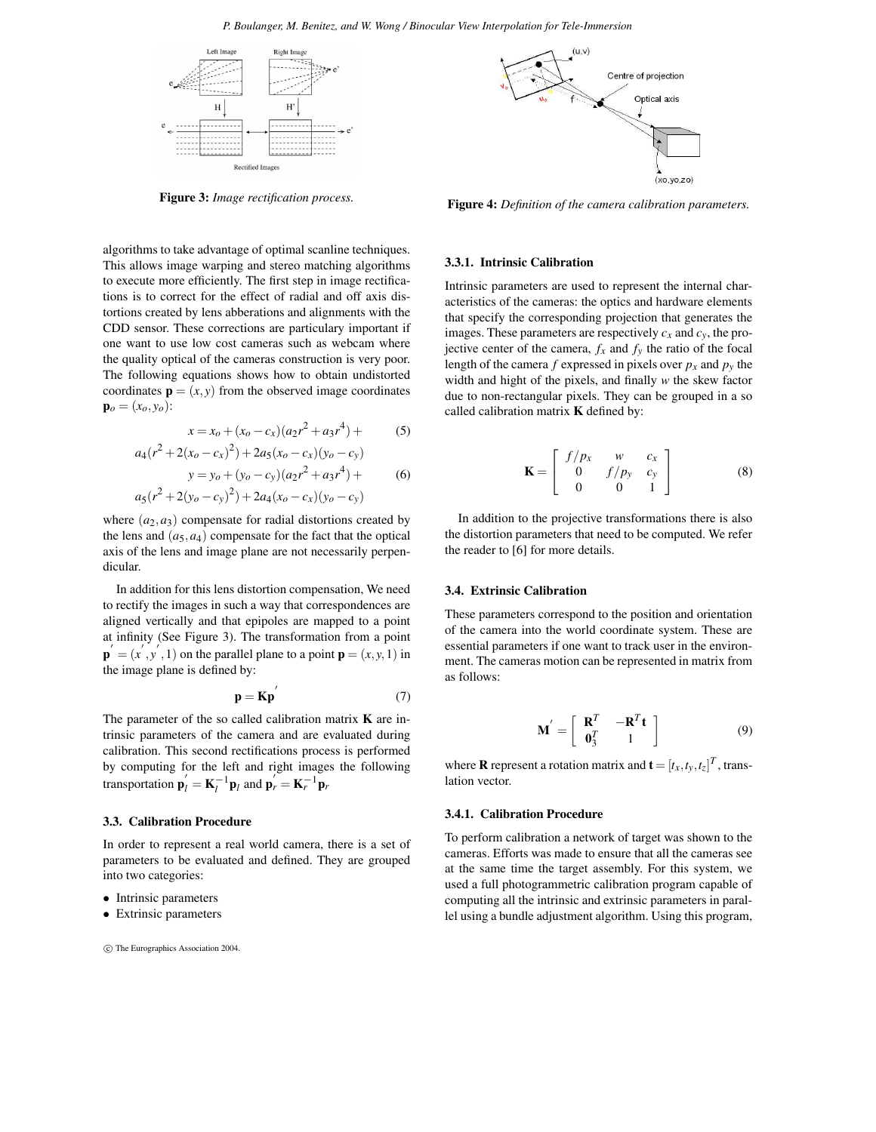

**Figure 3:** *Image rectification process.*

algorithms to take advantage of optimal scanline techniques. This allows image warping and stereo matching algorithms to execute more efficiently. The first step in image rectifications is to correct for the effect of radial and off axis distortions created by lens abberations and alignments with the CDD sensor. These corrections are particulary important if one want to use low cost cameras such as webcam where the quality optical of the cameras construction is very poor. The following equations shows how to obtain undistorted coordinates  $\mathbf{p} = (x, y)$  from the observed image coordinates  $\mathbf{p}_o = (x_o, y_o)$ :

$$
x = x_o + (x_o - c_x)(a_2r^2 + a_3r^4) + \tag{5}
$$

$$
a_4(r^2 + 2(x_0 - c_x)^2) + 2a_5(x_0 - c_x)(y_0 - c_y)
$$
  
\n
$$
y = y_0 + (y_0 - c_y)(a_2r^2 + a_3r^4) +
$$
  
\n
$$
a_5(r^2 + 2(y_0 - c_y)^2) + 2a_4(x_0 - c_x)(y_0 - c_y)
$$
\n(6)

where  $(a_2, a_3)$  compensate for radial distortions created by the lens and  $(a_5, a_4)$  compensate for the fact that the optical axis of the lens and image plane are not necessarily perpendicular.

In addition for this lens distortion compensation, We need to rectify the images in such a way that correspondences are aligned vertically and that epipoles are mapped to a point at infinity (See Figure 3). The transformation from a point  $\mathbf{p} = (x, y, 1)$  on the parallel plane to a point  $\mathbf{p} = (x, y, 1)$  in the image plane is defined by:

 $\overline{1}$ 

$$
\mathbf{p} = \mathbf{K}\mathbf{p} \tag{7}
$$

The parameter of the so called calibration matrix **K** are intrinsic parameters of the camera and are evaluated during calibration. This second rectifications process is performed by computing for the left and right images the following transportation  $\mathbf{p}'_l = \mathbf{K}_l^{-1} \mathbf{p}_l$  and  $\mathbf{p}'_r = \mathbf{K}_r^{-1} \mathbf{p}_r$ 

## **3.3. Calibration Procedure**

In order to represent a real world camera, there is a set of parameters to be evaluated and defined. They are grouped into two categories:

- Intrinsic parameters
- Extrinsic parameters

°c The Eurographics Association 2004.



**Figure 4:** *Definition of the camera calibration parameters.*

## **3.3.1. Intrinsic Calibration**

Intrinsic parameters are used to represent the internal characteristics of the cameras: the optics and hardware elements that specify the corresponding projection that generates the images. These parameters are respectively  $c_x$  and  $c_y$ , the projective center of the camera,  $f_x$  and  $f_y$  the ratio of the focal length of the camera  $f$  expressed in pixels over  $p_x$  and  $p_y$  the width and hight of the pixels, and finally *w* the skew factor due to non-rectangular pixels. They can be grouped in a so called calibration matrix **K** defined by:

$$
\mathbf{K} = \begin{bmatrix} f/p_x & w & c_x \\ 0 & f/p_y & c_y \\ 0 & 0 & 1 \end{bmatrix}
$$
 (8)

In addition to the projective transformations there is also the distortion parameters that need to be computed. We refer the reader to [6] for more details.

# **3.4. Extrinsic Calibration**

These parameters correspond to the position and orientation of the camera into the world coordinate system. These are essential parameters if one want to track user in the environment. The cameras motion can be represented in matrix from as follows:

$$
\mathbf{M}^{'} = \left[ \begin{array}{cc} \mathbf{R}^T & -\mathbf{R}^T \mathbf{t} \\ \mathbf{0}_3^T & 1 \end{array} \right] \tag{9}
$$

where **R** represent a rotation matrix and  $\mathbf{t} = [t_x, t_y, t_z]^T$ , translation vector.

#### **3.4.1. Calibration Procedure**

To perform calibration a network of target was shown to the cameras. Efforts was made to ensure that all the cameras see at the same time the target assembly. For this system, we used a full photogrammetric calibration program capable of computing all the intrinsic and extrinsic parameters in parallel using a bundle adjustment algorithm. Using this program,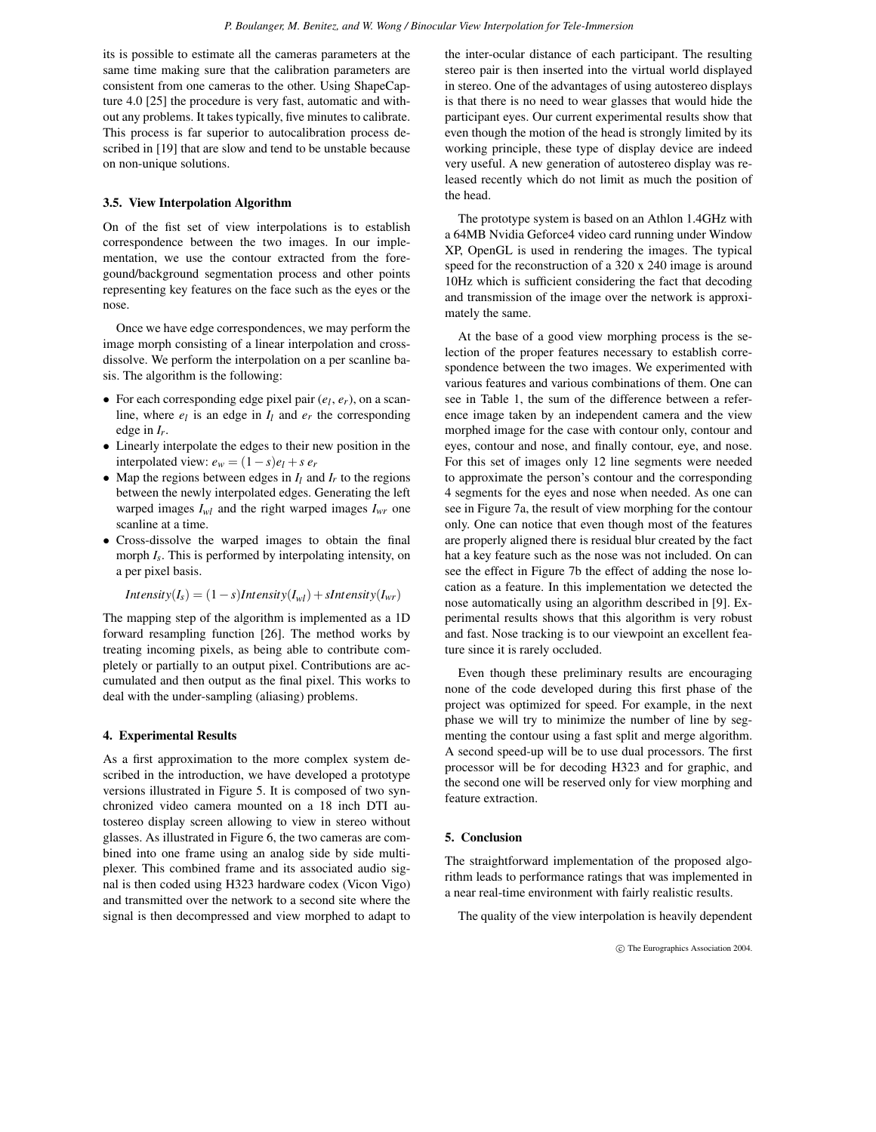its is possible to estimate all the cameras parameters at the same time making sure that the calibration parameters are consistent from one cameras to the other. Using ShapeCapture 4.0 [25] the procedure is very fast, automatic and without any problems. It takes typically, five minutes to calibrate. This process is far superior to autocalibration process described in [19] that are slow and tend to be unstable because on non-unique solutions.

# **3.5. View Interpolation Algorithm**

On of the fist set of view interpolations is to establish correspondence between the two images. In our implementation, we use the contour extracted from the foregound/background segmentation process and other points representing key features on the face such as the eyes or the nose.

Once we have edge correspondences, we may perform the image morph consisting of a linear interpolation and crossdissolve. We perform the interpolation on a per scanline basis. The algorithm is the following:

- For each corresponding edge pixel pair  $(e_l, e_r)$ , on a scanline, where  $e_l$  is an edge in  $I_l$  and  $e_r$  the corresponding edge in *Ir*.
- Linearly interpolate the edges to their new position in the interpolated view:  $e_w = (1 - s)e_l + s e_r$
- Map the regions between edges in  $I_l$  and  $I_r$  to the regions between the newly interpolated edges. Generating the left warped images *Iwl* and the right warped images *Iwr* one scanline at a time.
- Cross-dissolve the warped images to obtain the final morph *I<sub>s</sub>*. This is performed by interpolating intensity, on a per pixel basis.

$$
Intensity(I_s) = (1 - s) Intensity(I_{wl}) + sIntensity(I_{wr})
$$

The mapping step of the algorithm is implemented as a 1D forward resampling function [26]. The method works by treating incoming pixels, as being able to contribute completely or partially to an output pixel. Contributions are accumulated and then output as the final pixel. This works to deal with the under-sampling (aliasing) problems.

# **4. Experimental Results**

As a first approximation to the more complex system described in the introduction, we have developed a prototype versions illustrated in Figure 5. It is composed of two synchronized video camera mounted on a 18 inch DTI autostereo display screen allowing to view in stereo without glasses. As illustrated in Figure 6, the two cameras are combined into one frame using an analog side by side multiplexer. This combined frame and its associated audio signal is then coded using H323 hardware codex (Vicon Vigo) and transmitted over the network to a second site where the signal is then decompressed and view morphed to adapt to the inter-ocular distance of each participant. The resulting stereo pair is then inserted into the virtual world displayed in stereo. One of the advantages of using autostereo displays is that there is no need to wear glasses that would hide the participant eyes. Our current experimental results show that even though the motion of the head is strongly limited by its working principle, these type of display device are indeed very useful. A new generation of autostereo display was released recently which do not limit as much the position of the head.

The prototype system is based on an Athlon 1.4GHz with a 64MB Nvidia Geforce4 video card running under Window XP, OpenGL is used in rendering the images. The typical speed for the reconstruction of a 320 x 240 image is around 10Hz which is sufficient considering the fact that decoding and transmission of the image over the network is approximately the same.

At the base of a good view morphing process is the selection of the proper features necessary to establish correspondence between the two images. We experimented with various features and various combinations of them. One can see in Table 1, the sum of the difference between a reference image taken by an independent camera and the view morphed image for the case with contour only, contour and eyes, contour and nose, and finally contour, eye, and nose. For this set of images only 12 line segments were needed to approximate the person's contour and the corresponding 4 segments for the eyes and nose when needed. As one can see in Figure 7a, the result of view morphing for the contour only. One can notice that even though most of the features are properly aligned there is residual blur created by the fact hat a key feature such as the nose was not included. On can see the effect in Figure 7b the effect of adding the nose location as a feature. In this implementation we detected the nose automatically using an algorithm described in [9]. Experimental results shows that this algorithm is very robust and fast. Nose tracking is to our viewpoint an excellent feature since it is rarely occluded.

Even though these preliminary results are encouraging none of the code developed during this first phase of the project was optimized for speed. For example, in the next phase we will try to minimize the number of line by segmenting the contour using a fast split and merge algorithm. A second speed-up will be to use dual processors. The first processor will be for decoding H323 and for graphic, and the second one will be reserved only for view morphing and feature extraction.

### **5. Conclusion**

The straightforward implementation of the proposed algorithm leads to performance ratings that was implemented in a near real-time environment with fairly realistic results.

The quality of the view interpolation is heavily dependent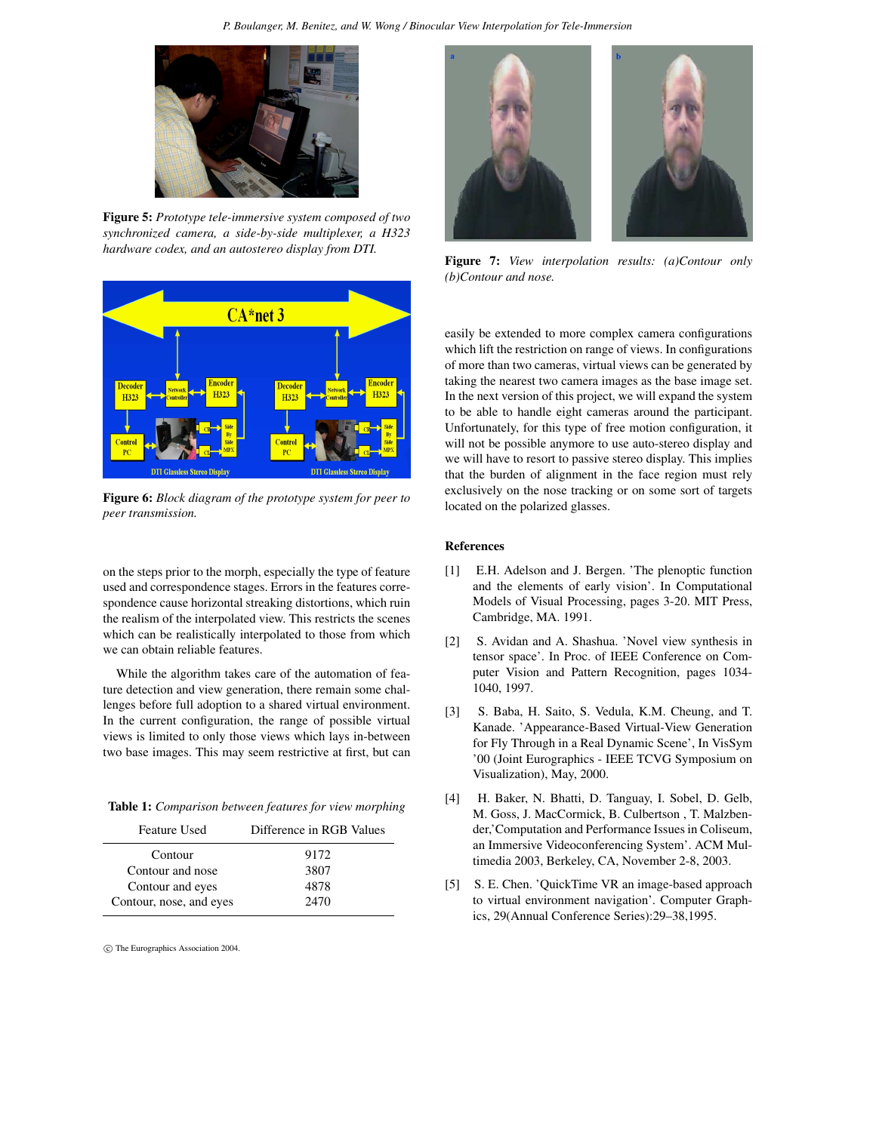

**Figure 5:** *Prototype tele-immersive system composed of two synchronized camera, a side-by-side multiplexer, a H323 hardware codex, and an autostereo display from DTI.*



**Figure 6:** *Block diagram of the prototype system for peer to peer transmission.*

on the steps prior to the morph, especially the type of feature used and correspondence stages. Errors in the features correspondence cause horizontal streaking distortions, which ruin the realism of the interpolated view. This restricts the scenes which can be realistically interpolated to those from which we can obtain reliable features.

While the algorithm takes care of the automation of feature detection and view generation, there remain some challenges before full adoption to a shared virtual environment. In the current configuration, the range of possible virtual views is limited to only those views which lays in-between two base images. This may seem restrictive at first, but can

**Table 1:** *Comparison between features for view morphing*

| Feature Used            | Difference in RGB Values |
|-------------------------|--------------------------|
| Contour                 | 9172                     |
| Contour and nose        | 3807                     |
| Contour and eyes        | 4878                     |
| Contour, nose, and eyes | 2470                     |

°c The Eurographics Association 2004.



**Figure 7:** *View interpolation results: (a)Contour only (b)Contour and nose.*

easily be extended to more complex camera configurations which lift the restriction on range of views. In configurations of more than two cameras, virtual views can be generated by taking the nearest two camera images as the base image set. In the next version of this project, we will expand the system to be able to handle eight cameras around the participant. Unfortunately, for this type of free motion configuration, it will not be possible anymore to use auto-stereo display and we will have to resort to passive stereo display. This implies that the burden of alignment in the face region must rely exclusively on the nose tracking or on some sort of targets located on the polarized glasses.

# **References**

- [1] E.H. Adelson and J. Bergen. 'The plenoptic function and the elements of early vision'. In Computational Models of Visual Processing, pages 3-20. MIT Press, Cambridge, MA. 1991.
- [2] S. Avidan and A. Shashua. 'Novel view synthesis in tensor space'. In Proc. of IEEE Conference on Computer Vision and Pattern Recognition, pages 1034- 1040, 1997.
- [3] S. Baba, H. Saito, S. Vedula, K.M. Cheung, and T. Kanade. 'Appearance-Based Virtual-View Generation for Fly Through in a Real Dynamic Scene', In VisSym '00 (Joint Eurographics - IEEE TCVG Symposium on Visualization), May, 2000.
- [4] H. Baker, N. Bhatti, D. Tanguay, I. Sobel, D. Gelb, M. Goss, J. MacCormick, B. Culbertson , T. Malzbender,'Computation and Performance Issues in Coliseum, an Immersive Videoconferencing System'. ACM Multimedia 2003, Berkeley, CA, November 2-8, 2003.
- [5] S. E. Chen. 'QuickTime VR an image-based approach to virtual environment navigation'. Computer Graphics, 29(Annual Conference Series):29–38,1995.